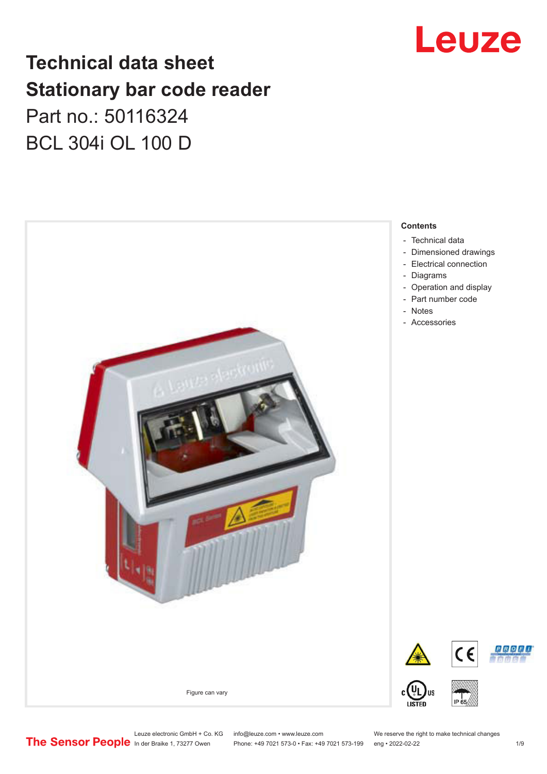

## **Technical data sheet Stationary bar code reader** Part no.: 50116324 BCL 304i OL 100 D



Leuze electronic GmbH + Co. KG info@leuze.com • www.leuze.com We reserve the right to make technical changes<br>
The Sensor People in der Braike 1, 73277 Owen Phone: +49 7021 573-0 • Fax: +49 7021 573-199 eng • 2022-02-22

Phone: +49 7021 573-0 • Fax: +49 7021 573-199 eng • 2022-02-22 1 /9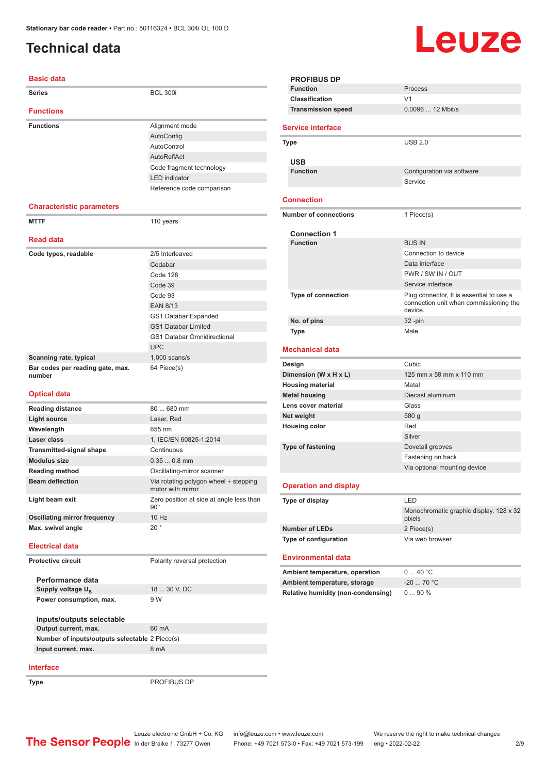### <span id="page-1-0"></span>**Technical data**

#### **Basic data**

| <b>Series</b>                              | <b>BCL 300i</b>                    |
|--------------------------------------------|------------------------------------|
| <b>Functions</b>                           |                                    |
| <b>Functions</b>                           | Alignment mode                     |
|                                            | AutoConfig                         |
|                                            | AutoControl                        |
|                                            | AutoReflAct                        |
|                                            | Code fragment technology           |
|                                            | <b>LED</b> indicator               |
|                                            | Reference code comparison          |
|                                            |                                    |
| <b>Characteristic parameters</b>           |                                    |
| <b>MTTF</b>                                | 110 years                          |
|                                            |                                    |
| <b>Read data</b>                           |                                    |
| Code types, readable                       | 2/5 Interleaved                    |
|                                            | Codabar                            |
|                                            | Code 128                           |
|                                            | Code 39                            |
|                                            | Code 93                            |
|                                            | <b>EAN 8/13</b>                    |
|                                            | GS1 Databar Expanded               |
|                                            | <b>GS1 Databar Limited</b>         |
|                                            | <b>GS1 Databar Omnidirectional</b> |
|                                            | <b>UPC</b>                         |
| Scanning rate, typical                     | $1,000$ scans/s                    |
| Bar codes per reading gate, max.<br>number | 64 Piece(s)                        |
|                                            |                                    |

#### **Optical data**

| <b>Reading distance</b>             | 80 680 mm                                                  |  |
|-------------------------------------|------------------------------------------------------------|--|
| Light source                        | Laser, Red                                                 |  |
| Wavelength                          | 655 nm                                                     |  |
| Laser class                         | 1, IEC/EN 60825-1:2014                                     |  |
| <b>Transmitted-signal shape</b>     | Continuous                                                 |  |
| <b>Modulus size</b>                 | $0.350.8$ mm                                               |  |
| <b>Reading method</b>               | Oscillating-mirror scanner                                 |  |
| <b>Beam deflection</b>              | Via rotating polygon wheel + stepping<br>motor with mirror |  |
| Light beam exit                     | Zero position at side at angle less than<br>$90^\circ$     |  |
| <b>Oscillating mirror frequency</b> | 10 Hz                                                      |  |
| Max. swivel angle                   | 20°                                                        |  |
| <b>Electrical data</b>              |                                                            |  |
| Protective circuit                  | Polarity reversal protection                               |  |
| Performance data                    |                                                            |  |
| Supply voltage U <sub>n</sub>       | 18  30 V, DC                                               |  |

| Inputs/outputs selectable                      |       |  |
|------------------------------------------------|-------|--|
| Output current, max.                           | 60 mA |  |
| Number of inputs/outputs selectable 2 Piece(s) |       |  |
| Input current, max.                            | 8 mA  |  |

#### **Interface**

**Type** PROFIBUS DP

Leuze

| <b>PROFIBUS DP</b>                        |                                                   |
|-------------------------------------------|---------------------------------------------------|
| <b>Function</b>                           | Process                                           |
| Classification                            | V <sub>1</sub>                                    |
| <b>Transmission speed</b>                 | 0.0096  12 Mbit/s                                 |
| <b>Service interface</b>                  |                                                   |
| <b>Type</b>                               | <b>USB 2.0</b>                                    |
|                                           |                                                   |
| <b>USB</b>                                |                                                   |
| <b>Function</b>                           | Configuration via software<br>Service             |
|                                           |                                                   |
| <b>Connection</b>                         |                                                   |
| <b>Number of connections</b>              | 1 Piece(s)                                        |
| <b>Connection 1</b>                       |                                                   |
| <b>Function</b>                           | <b>BUS IN</b><br>Connection to device             |
|                                           | Data interface                                    |
|                                           | PWR / SW IN / OUT                                 |
|                                           | Service interface                                 |
| <b>Type of connection</b>                 | Plug connector, It is essential to use a          |
|                                           | connection unit when commissioning the<br>device. |
| No. of pins                               | 32-pin                                            |
| <b>Type</b>                               | Male                                              |
|                                           |                                                   |
| <b>Mechanical data</b>                    |                                                   |
| Design                                    | Cubic                                             |
| Dimension (W x H x L)                     | 125 mm x 58 mm x 110 mm                           |
| <b>Housing material</b>                   | Metal                                             |
| <b>Metal housing</b>                      | Diecast aluminum                                  |
| Lens cover material                       | Glass                                             |
| Net weight                                | 580 g                                             |
| <b>Housing color</b>                      | Red                                               |
|                                           | Silver                                            |
| <b>Type of fastening</b>                  | Dovetail grooves                                  |
|                                           | Fastening on back                                 |
|                                           | Via optional mounting device                      |
| <b>Operation and display</b>              |                                                   |
| Type of display                           | LED                                               |
|                                           | Monochromatic graphic display, 128 x 32<br>pixels |
| <b>Number of LEDs</b>                     | 2 Piece(s)                                        |
| Type of configuration                     | Via web browser                                   |
| <b>Environmental data</b>                 |                                                   |
| Ambient temperature, operation            | 040 °C                                            |
| Ambient temperature, storage              | $-20$ 70 °C                                       |
| <b>Relative humidity (non-condensing)</b> | 090%                                              |

**Power consumption, max.** 9 W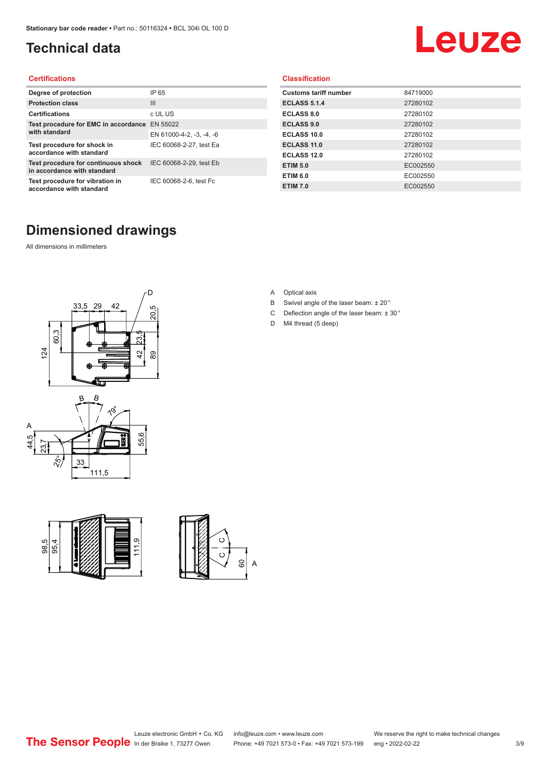### <span id="page-2-0"></span>**Technical data**

# Leuze

#### **Certifications**

| Degree of protection                                               | IP 65                    |
|--------------------------------------------------------------------|--------------------------|
| <b>Protection class</b>                                            | $\mathbf{III}$           |
| <b>Certifications</b>                                              | c UL US                  |
| Test procedure for EMC in accordance                               | EN 55022                 |
| with standard                                                      | EN 61000-4-2, -3, -4, -6 |
| Test procedure for shock in<br>accordance with standard            | IEC 60068-2-27, test Ea  |
| Test procedure for continuous shock<br>in accordance with standard | IEC 60068-2-29, test Eb  |
| Test procedure for vibration in<br>accordance with standard        | IEC 60068-2-6, test Fc   |

#### **Classification**

| <b>Customs tariff number</b> | 84719000 |
|------------------------------|----------|
| <b>ECLASS 5.1.4</b>          | 27280102 |
| <b>ECLASS 8.0</b>            | 27280102 |
| <b>ECLASS 9.0</b>            | 27280102 |
| ECLASS 10.0                  | 27280102 |
| ECLASS 11.0                  | 27280102 |
| ECLASS 12.0                  | 27280102 |
| <b>ETIM 5.0</b>              | EC002550 |
| <b>ETIM 6.0</b>              | EC002550 |
| <b>ETIM 7.0</b>              | EC002550 |

### **Dimensioned drawings**

All dimensions in millimeters









- B Swivel angle of the laser beam: ± 20 °
- C Deflection angle of the laser beam:  $\pm$  30 $^{\circ}$
- D M4 thread (5 deep)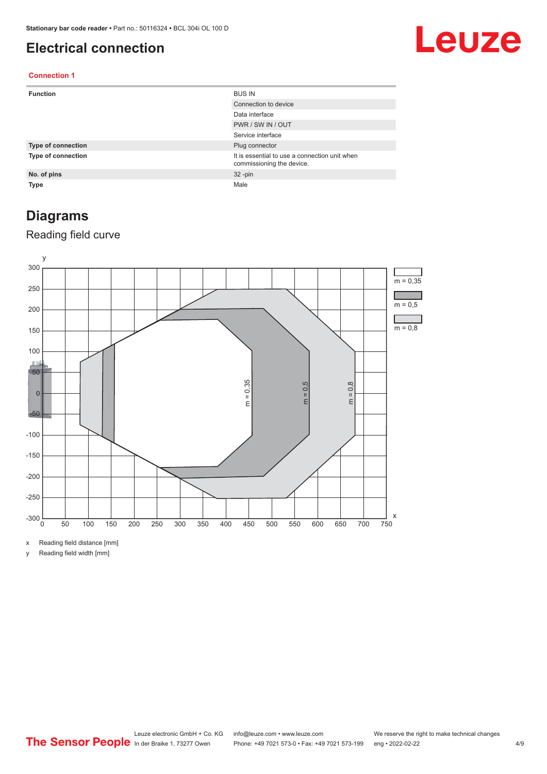#### <span id="page-3-0"></span>**Electrical connection**

## Leuze

#### **Connection 1**

| <b>Function</b>           | <b>BUS IN</b>                                                              |
|---------------------------|----------------------------------------------------------------------------|
|                           | Connection to device                                                       |
|                           | Data interface                                                             |
|                           | PWR / SW IN / OUT                                                          |
|                           | Service interface                                                          |
| <b>Type of connection</b> | Plug connector                                                             |
| <b>Type of connection</b> | It is essential to use a connection unit when<br>commissioning the device. |
| No. of pins               | $32 - pin$                                                                 |
| Type                      | Male                                                                       |

#### **Diagrams**

#### Reading field curve



x Reading field distance [mm]

y Reading field width [mm]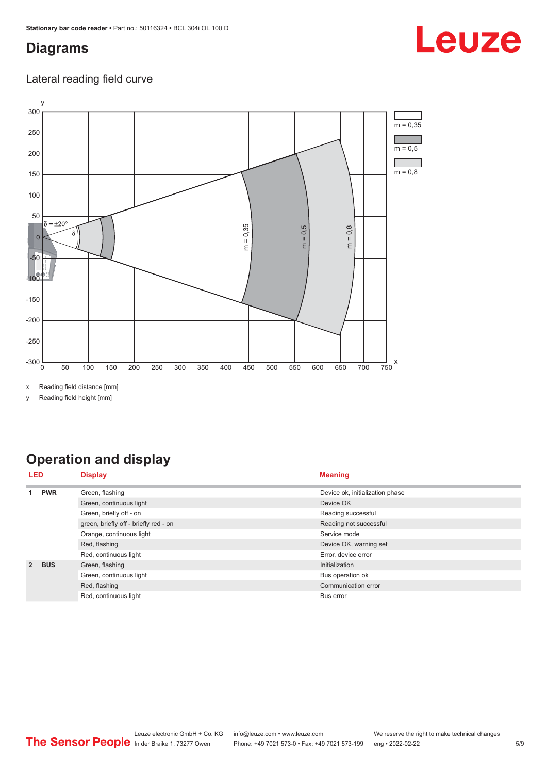#### <span id="page-4-0"></span>**Diagrams**

# Leuze

#### Lateral reading field curve



x Reading field distance [mm]

y Reading field height [mm]

### **Operation and display**

| LED |                              | <b>Display</b>                        | <b>Meaning</b>                  |  |
|-----|------------------------------|---------------------------------------|---------------------------------|--|
|     | <b>PWR</b>                   | Green, flashing                       | Device ok, initialization phase |  |
|     |                              | Green, continuous light               | Device OK                       |  |
|     |                              | Green, briefly off - on               | Reading successful              |  |
|     |                              | green, briefly off - briefly red - on | Reading not successful          |  |
|     |                              | Orange, continuous light              | Service mode                    |  |
|     |                              | Red, flashing                         | Device OK, warning set          |  |
|     |                              | Red, continuous light                 | Error, device error             |  |
|     | <b>BUS</b><br>$\overline{2}$ | Green, flashing                       | Initialization                  |  |
|     |                              | Green, continuous light               | Bus operation ok                |  |
|     |                              | Red, flashing                         | Communication error             |  |
|     |                              | Red, continuous light                 | Bus error                       |  |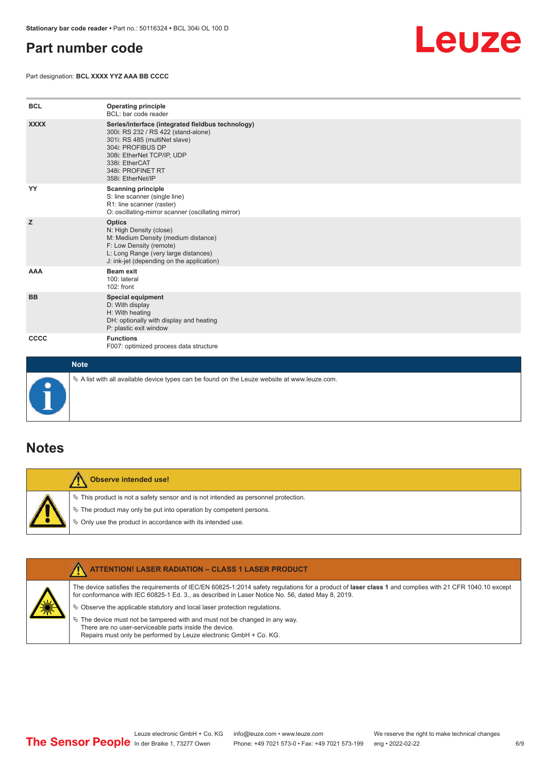#### <span id="page-5-0"></span>**Part number code**

Part designation: **BCL XXXX YYZ AAA BB CCCC**



| <b>BCL</b>  | <b>Operating principle</b><br>BCL: bar code reader                                                                                                                                                                                       |
|-------------|------------------------------------------------------------------------------------------------------------------------------------------------------------------------------------------------------------------------------------------|
| <b>XXXX</b> | Series/interface (integrated fieldbus technology)<br>300i: RS 232 / RS 422 (stand-alone)<br>301i: RS 485 (multiNet slave)<br>304i: PROFIBUS DP<br>308i: EtherNet TCP/IP, UDP<br>338i: EtherCAT<br>348i: PROFINET RT<br>358i: EtherNet/IP |
| YY          | <b>Scanning principle</b><br>S: line scanner (single line)<br>R1: line scanner (raster)<br>O: oscillating-mirror scanner (oscillating mirror)                                                                                            |
| z           | <b>Optics</b><br>N: High Density (close)<br>M: Medium Density (medium distance)<br>F: Low Density (remote)<br>L: Long Range (very large distances)<br>J: ink-jet (depending on the application)                                          |
| <b>AAA</b>  | <b>Beam exit</b><br>100: lateral<br>102: front                                                                                                                                                                                           |
| <b>BB</b>   | Special equipment<br>D: With display<br>H: With heating<br>DH: optionally with display and heating<br>P: plastic exit window                                                                                                             |
| CCCC        | <b>Functions</b><br>F007: optimized process data structure                                                                                                                                                                               |
| <b>Note</b> |                                                                                                                                                                                                                                          |



 $\%$  A list with all available device types can be found on the Leuze website at www.leuze.com.

#### **Notes**

**Observe intended use!** Λ  $\%$  This product is not a safety sensor and is not intended as personnel protection.  $\%$  The product may only be put into operation by competent persons.  $\%$  Only use the product in accordance with its intended use.

|  | <b>ATTENTION! LASER RADIATION - CLASS 1 LASER PRODUCT</b>                                                                                                                                                                                                  |
|--|------------------------------------------------------------------------------------------------------------------------------------------------------------------------------------------------------------------------------------------------------------|
|  | The device satisfies the requirements of IEC/EN 60825-1:2014 safety regulations for a product of laser class 1 and complies with 21 CFR 1040.10 except<br>for conformance with IEC 60825-1 Ed. 3., as described in Laser Notice No. 56, dated May 8, 2019. |
|  | $\&$ Observe the applicable statutory and local laser protection requisitions.                                                                                                                                                                             |
|  | $\%$ The device must not be tampered with and must not be changed in any way.<br>There are no user-serviceable parts inside the device.<br>Repairs must only be performed by Leuze electronic GmbH + Co. KG.                                               |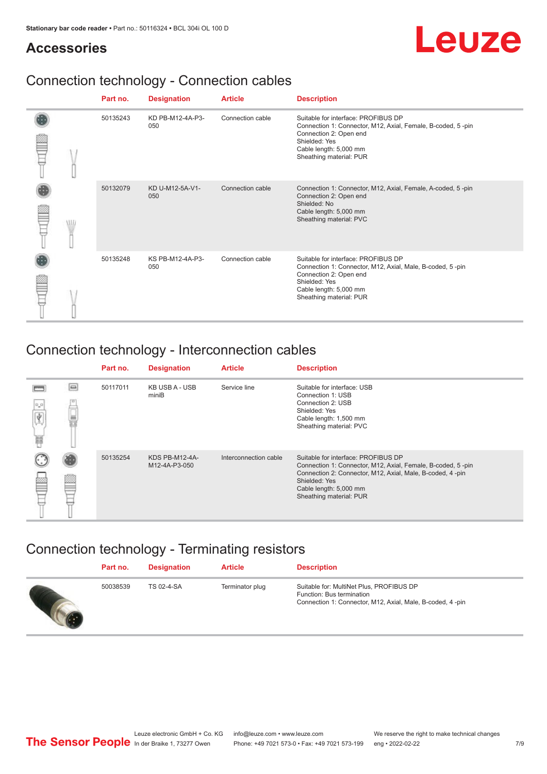## Leuze

#### **Accessories**

## Connection technology - Connection cables

|  | Part no. | <b>Designation</b>      | <b>Article</b>   | <b>Description</b>                                                                                                                                                                                 |
|--|----------|-------------------------|------------------|----------------------------------------------------------------------------------------------------------------------------------------------------------------------------------------------------|
|  | 50135243 | KD PB-M12-4A-P3-<br>050 | Connection cable | Suitable for interface: PROFIBUS DP<br>Connection 1: Connector, M12, Axial, Female, B-coded, 5-pin<br>Connection 2: Open end<br>Shielded: Yes<br>Cable length: 5,000 mm<br>Sheathing material: PUR |
|  | 50132079 | KD U-M12-5A-V1-<br>050  | Connection cable | Connection 1: Connector, M12, Axial, Female, A-coded, 5-pin<br>Connection 2: Open end<br>Shielded: No<br>Cable length: 5,000 mm<br>Sheathing material: PVC                                         |
|  | 50135248 | KS PB-M12-4A-P3-<br>050 | Connection cable | Suitable for interface: PROFIBUS DP<br>Connection 1: Connector, M12, Axial, Male, B-coded, 5-pin<br>Connection 2: Open end<br>Shielded: Yes<br>Cable length: 5,000 mm<br>Sheathing material: PUR   |

### Connection technology - Interconnection cables

|                |          | Part no. | <b>Designation</b>                     | <b>Article</b>        | <b>Description</b>                                                                                                                                                                                                                    |
|----------------|----------|----------|----------------------------------------|-----------------------|---------------------------------------------------------------------------------------------------------------------------------------------------------------------------------------------------------------------------------------|
| $0\,$ $0$<br>扁 | $\equiv$ | 50117011 | KB USB A - USB<br>miniB                | Service line          | Suitable for interface: USB<br>Connection 1: USB<br>Connection 2: USB<br>Shielded: Yes<br>Cable length: 1,500 mm<br>Sheathing material: PVC                                                                                           |
|                |          | 50135254 | <b>KDS PB-M12-4A-</b><br>M12-4A-P3-050 | Interconnection cable | Suitable for interface: PROFIBUS DP<br>Connection 1: Connector, M12, Axial, Female, B-coded, 5-pin<br>Connection 2: Connector, M12, Axial, Male, B-coded, 4-pin<br>Shielded: Yes<br>Cable length: 5,000 mm<br>Sheathing material: PUR |

### Connection technology - Terminating resistors

| Part no. | <b>Designation</b> | <b>Article</b>  | <b>Description</b>                                                                                                                 |
|----------|--------------------|-----------------|------------------------------------------------------------------------------------------------------------------------------------|
| 50038539 | TS 02-4-SA         | Terminator plug | Suitable for: MultiNet Plus, PROFIBUS DP<br>Function: Bus termination<br>Connection 1: Connector, M12, Axial, Male, B-coded, 4-pin |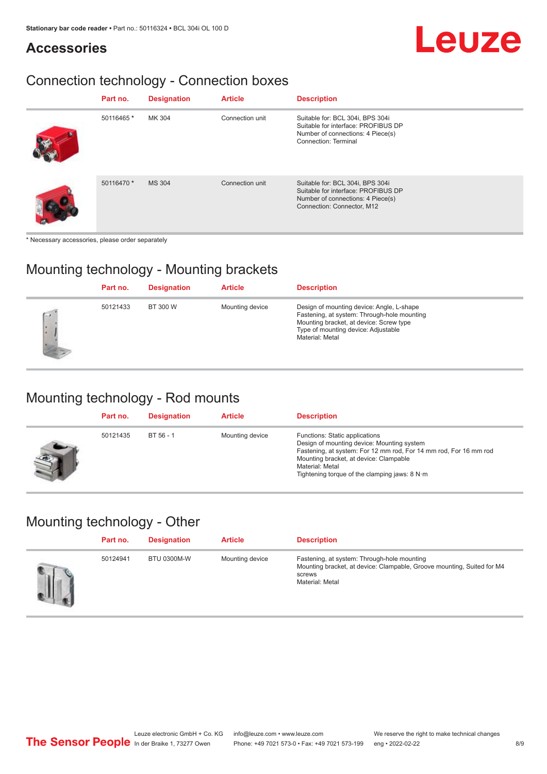#### **Accessories**

## Leuze

## Connection technology - Connection boxes

| Part no.   | <b>Designation</b> | <b>Article</b>  | <b>Description</b>                                                                                                                         |
|------------|--------------------|-----------------|--------------------------------------------------------------------------------------------------------------------------------------------|
| 50116465 * | MK 304             | Connection unit | Suitable for: BCL 304i, BPS 304i<br>Suitable for interface: PROFIBUS DP<br>Number of connections: 4 Piece(s)<br>Connection: Terminal       |
| 50116470 * | <b>MS 304</b>      | Connection unit | Suitable for: BCL 304i, BPS 304i<br>Suitable for interface: PROFIBUS DP<br>Number of connections: 4 Piece(s)<br>Connection: Connector, M12 |

\* Necessary accessories, please order separately

#### Mounting technology - Mounting brackets

|                      | Part no. | <b>Designation</b> | <b>Article</b>  | <b>Description</b>                                                                                                                                                                            |
|----------------------|----------|--------------------|-----------------|-----------------------------------------------------------------------------------------------------------------------------------------------------------------------------------------------|
| $\sqrt{2}$<br>٠<br>€ | 50121433 | BT 300 W           | Mounting device | Design of mounting device: Angle, L-shape<br>Fastening, at system: Through-hole mounting<br>Mounting bracket, at device: Screw type<br>Type of mounting device: Adjustable<br>Material: Metal |

#### Mounting technology - Rod mounts

| Part no. | <b>Designation</b> | <b>Article</b>  | <b>Description</b>                                                                                                                                                                                                                                                |
|----------|--------------------|-----------------|-------------------------------------------------------------------------------------------------------------------------------------------------------------------------------------------------------------------------------------------------------------------|
| 50121435 | BT 56 - 1          | Mounting device | Functions: Static applications<br>Design of mounting device: Mounting system<br>Fastening, at system: For 12 mm rod, For 14 mm rod, For 16 mm rod<br>Mounting bracket, at device: Clampable<br>Material: Metal<br>Tightening torque of the clamping jaws: $8 N·m$ |

#### Mounting technology - Other

| Part no. | <b>Designation</b> | <b>Article</b>  | <b>Description</b>                                                                                                                                 |
|----------|--------------------|-----------------|----------------------------------------------------------------------------------------------------------------------------------------------------|
| 50124941 | <b>BTU 0300M-W</b> | Mounting device | Fastening, at system: Through-hole mounting<br>Mounting bracket, at device: Clampable, Groove mounting, Suited for M4<br>screws<br>Material: Metal |